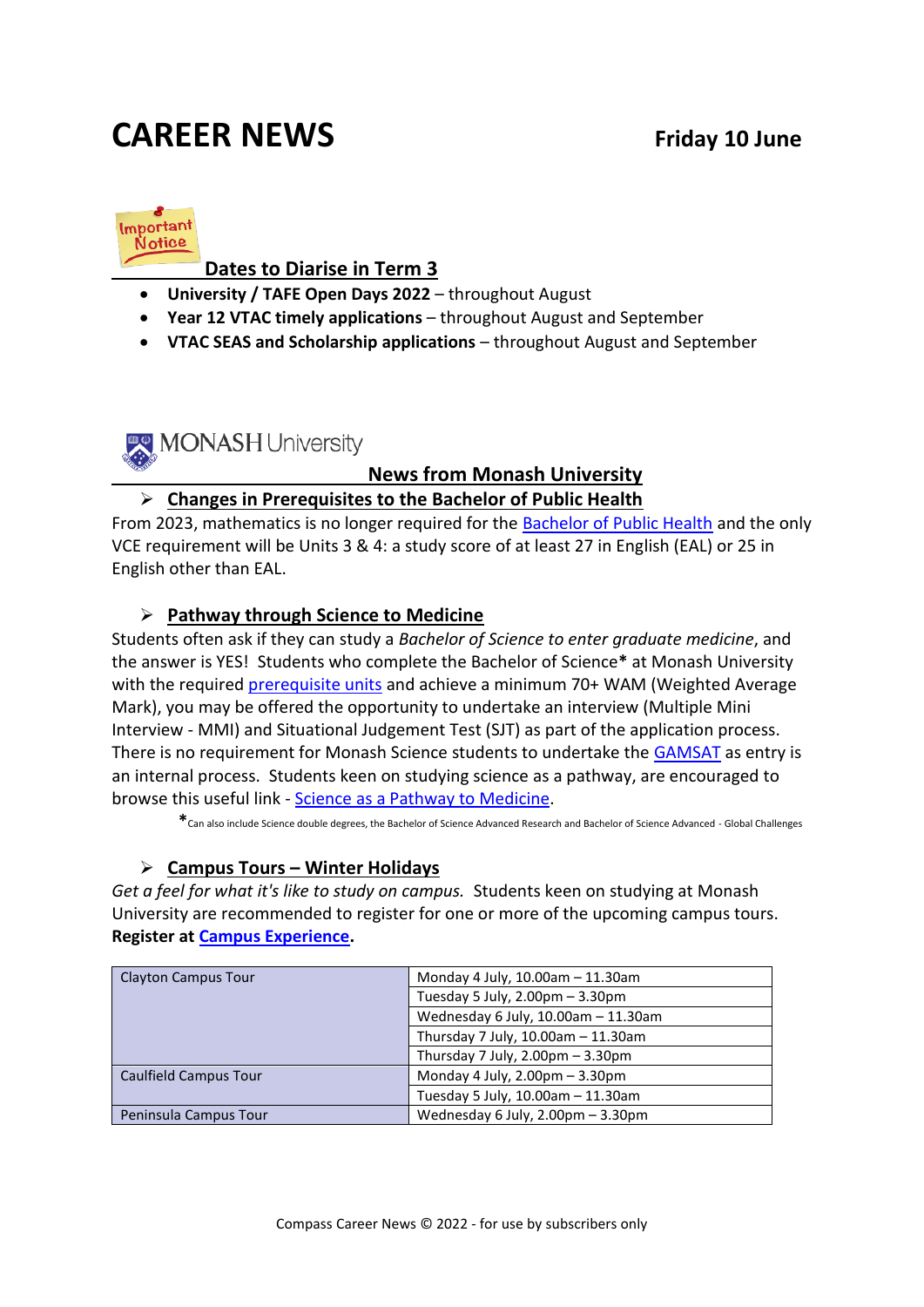# **CAREER NEWS Friday 10 June**



#### **Dates to Diarise in Term 3**

- **University / TAFE Open Days 2022** throughout August
- **Year 12 VTAC timely applications**  throughout August and September
- **VTAC SEAS and Scholarship applications**  throughout August and September

MONASH University

#### **News from Monash University**

#### ➢ **Changes in Prerequisites to the Bachelor of Public Health**

From 2023, mathematics is no longer required for the [Bachelor of Public Health](https://www.monash.edu/study/courses/find-a-course/2022/public-health-m2012) and the only VCE requirement will be Units 3 & 4: a study score of at least 27 in English (EAL) or 25 in English other than EAL.

#### ➢ **Pathway through Science to Medicine**

Students often ask if they can study a *Bachelor of Science to enter graduate medicine*, and the answer is YES! Students who complete the Bachelor of Science**\*** at Monash University with the required [prerequisite units](https://www.monash.edu/science/future-students/your-essential-guide-domestic-students/?a=1105083) and achieve a minimum 70+ WAM (Weighted Average Mark), you may be offered the opportunity to undertake an interview (Multiple Mini Interview - MMI) and Situational Judgement Test (SJT) as part of the application process. There is no requirement for Monash Science students to undertake the [GAMSAT](https://gamsat.acer.org/) as entry is an internal process. Students keen on studying science as a pathway, are encouraged to browse this useful link - [Science as a Pathway to Medicine.](https://www.monash.edu/science/future-students/your-essential-guide-domestic-students/science-as-a-pathway-to-medicine)

**\***Can also include Science double degrees, the Bachelor of Science Advanced Research and Bachelor of Science Advanced - Global Challenges

#### ➢ **Campus Tours – Winter Holidays**

*Get a feel for what it's like to study on campus.* Students keen on studying at Monash University are recommended to register for one or more of the upcoming campus tours. **Register at [Campus Experience.](https://www.monash.edu/discover/events/campus-experience)**

| Clayton Campus Tour   | Monday 4 July, 10.00am - 11.30am                    |  |
|-----------------------|-----------------------------------------------------|--|
|                       | Tuesday 5 July, $2.00 \text{pm} - 3.30 \text{pm}$   |  |
|                       | Wednesday 6 July, 10.00am - 11.30am                 |  |
|                       | Thursday 7 July, 10.00am - 11.30am                  |  |
|                       | Thursday 7 July, $2.00 \text{pm} - 3.30 \text{pm}$  |  |
| Caulfield Campus Tour | Monday 4 July, $2.00 \text{pm} - 3.30 \text{pm}$    |  |
|                       | Tuesday 5 July, 10.00am - 11.30am                   |  |
| Peninsula Campus Tour | Wednesday 6 July, $2.00 \text{pm} - 3.30 \text{pm}$ |  |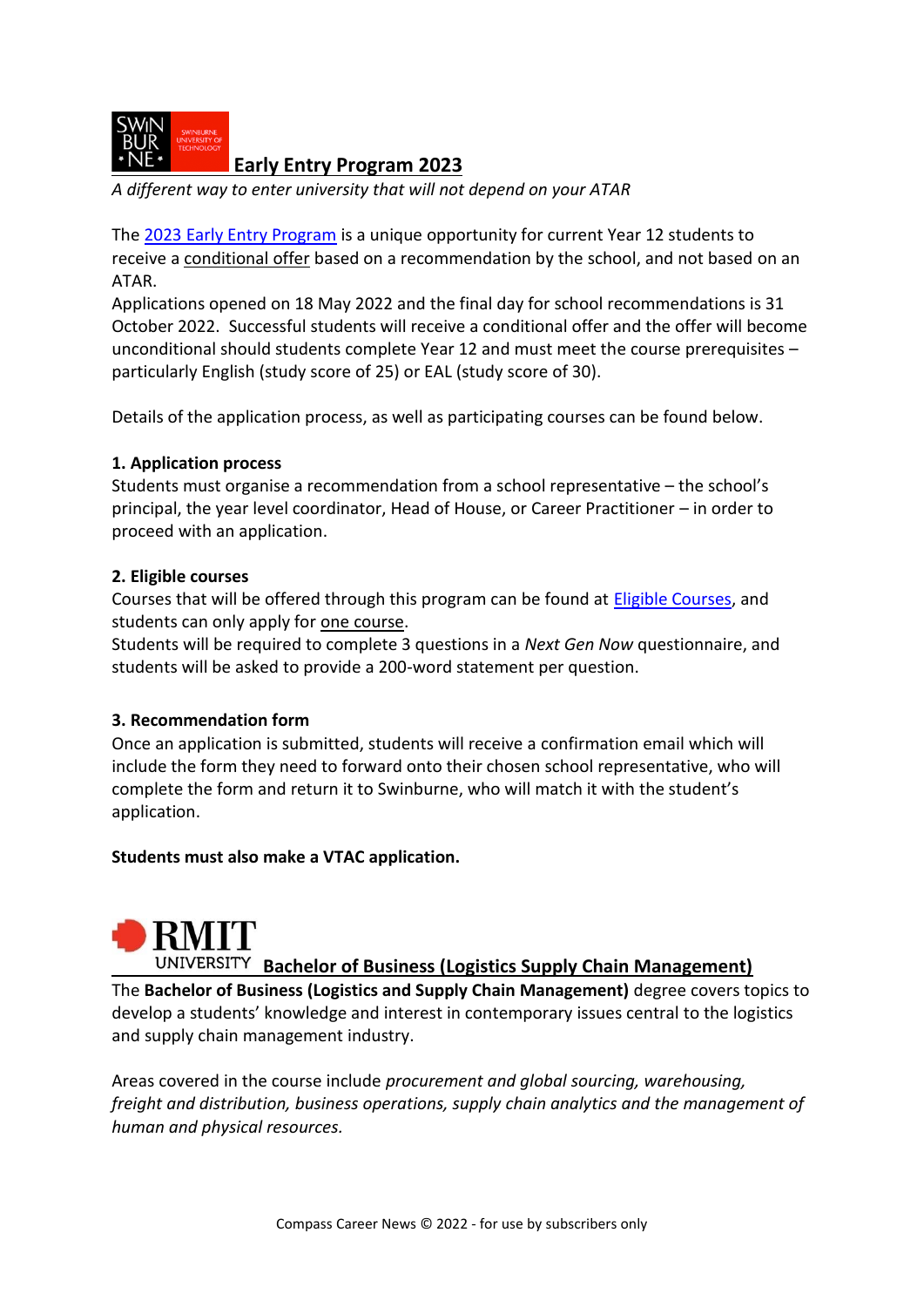

**[Early Entry Program](https://t.mail.swinburne.edu.au/r/?id=hc398ea,3175bbb,3175bc1&seid=em%7Ccpn%7Ccp%7Ccps%7Ccpjuneep%7C1) 2023**

*A different way to enter university that will not depend on your ATAR*

The [2023 Early Entry Program](https://www.swinburne.edu.au/courses/planning-your-future/early-entry-program/) is a unique opportunity for current Year 12 students to receive a conditional offer based on a recommendation by the school, and not based on an ATAR.

Applications opened on 18 May 2022 and the final day for school recommendations is 31 October 2022. Successful students will receive a conditional offer and the offer will become unconditional should students complete Year 12 and must meet the course prerequisites – particularly English (study score of 25) or EAL (study score of 30).

Details of the application process, as well as participating courses can be found below.

#### **1. Application process**

Students must organise a recommendation from a school representative – the school's principal, the year level coordinator, Head of House, or Career Practitioner – in order to proceed with an application.

#### **2. Eligible courses**

Courses that will be offered through this program can be found at **Eligible Courses**, and students can only apply for one course.

Students will be required to complete 3 questions in a *Next Gen Now* questionnaire, and students will be asked to provide a 200-word statement per question.

#### **3. Recommendation form**

Once an application is submitted, students will receive a confirmation email which will include the form they need to forward onto their chosen school representative, who will complete the form and return it to Swinburne, who will match it with the student's application.

#### **Students must also make a VTAC application.**



### **Bachelor of Business (Logistics Supply Chain Management)**

The **Bachelor of Business (Logistics and Supply Chain Management)** degree covers topics to develop a students' knowledge and interest in contemporary issues central to the logistics and supply chain management industry.

Areas covered in the course include *procurement and global sourcing, warehousing, freight and distribution, business operations, supply chain analytics and the management of human and physical resources.*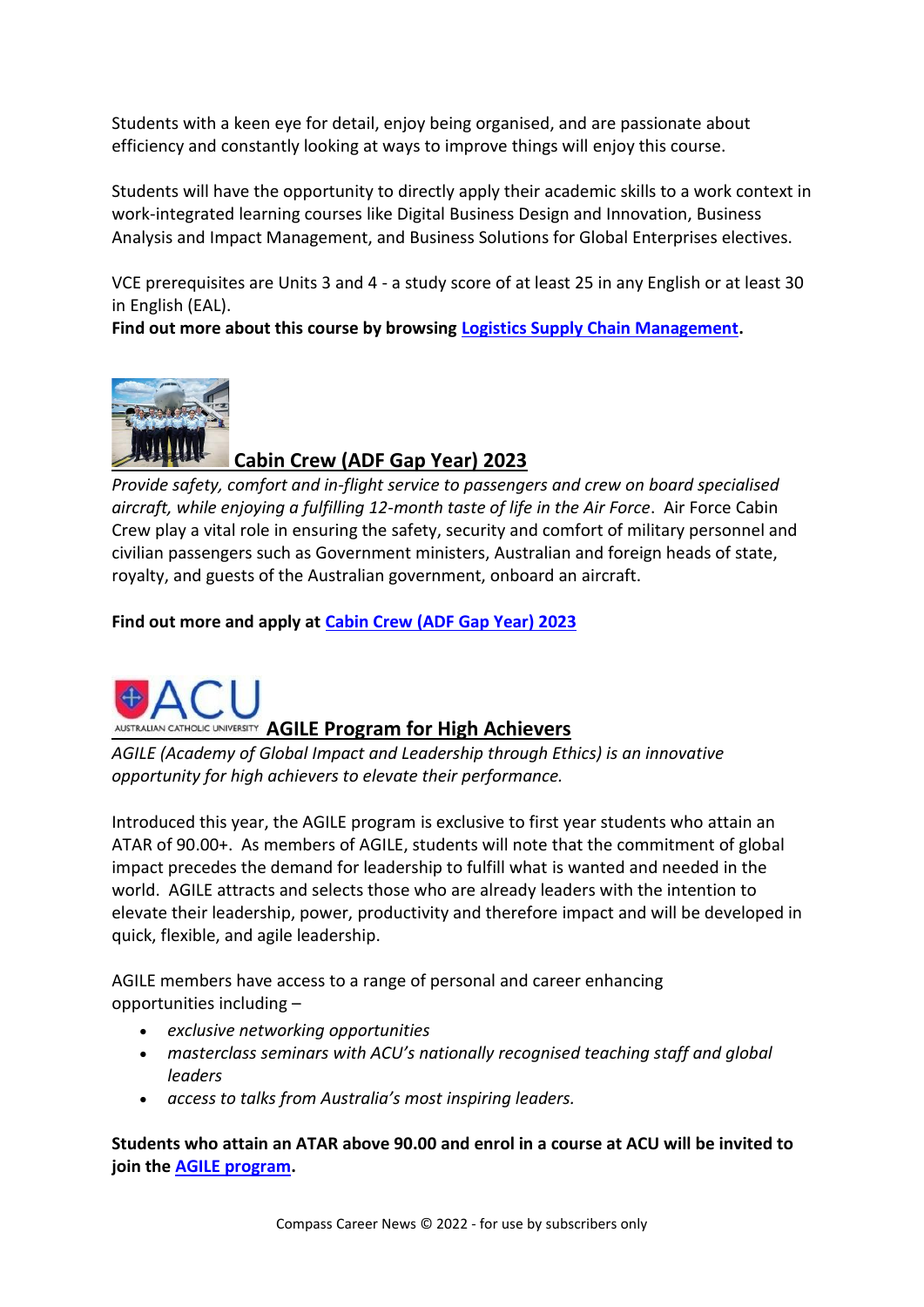Students with a keen eye for detail, enjoy being organised, and are passionate about efficiency and constantly looking at ways to improve things will enjoy this course.

Students will have the opportunity to directly apply their academic skills to a work context in work-integrated learning courses like Digital Business Design and Innovation, Business Analysis and Impact Management, and Business Solutions for Global Enterprises electives.

VCE prerequisites are Units 3 and 4 - a study score of at least 25 in any English or at least 30 in English (EAL).

**Find out more about this course by browsing [Logistics Supply Chain Management.](https://www.rmit.edu.au/study-with-us/levels-of-study/undergraduate-study/bachelor-degrees/bp255)**



### **Cabin Crew (ADF Gap Year) 2023**

*Provide safety, comfort and in-flight service to passengers and crew on board specialised aircraft, while enjoying a fulfilling 12-month taste of life in the Air Force*. Air Force Cabin Crew play a vital role in ensuring the safety, security and comfort of military personnel and civilian passengers such as Government ministers, Australian and foreign heads of state, royalty, and guests of the Australian government, onboard an aircraft.

**Find out more and apply at [Cabin Crew \(ADF Gap Year\) 2023](https://www.defencejobs.gov.au/jobs/air-force/cabin-crew-adf-gap-year)**



AUSTRALIAN CATHOLIC UNIVERSITY **AGILE Program for High Achievers** 

*AGILE (Academy of Global Impact and Leadership through Ethics) is an innovative opportunity for high achievers to elevate their performance.*

Introduced this year, the AGILE program is exclusive to first year students who attain an ATAR of 90.00+. As members of AGILE, students will note that the commitment of global impact precedes the demand for leadership to fulfill what is wanted and needed in the world. AGILE attracts and selects those who are already leaders with the intention to elevate their leadership, power, productivity and therefore impact and will be developed in quick, flexible, and agile leadership.

AGILE members have access to a range of personal and career enhancing opportunities including –

- *exclusive networking opportunities*
- *masterclass seminars with ACU's nationally recognised teaching staff and global leaders*
- *access to talks from Australia's most inspiring leaders.*

**Students who attain an ATAR above 90.00 and enrol in a course at ACU will be invited to join the [AGILE program.](https://www.acu.edu.au/study-at-acu/why-study-at-acu/agile)**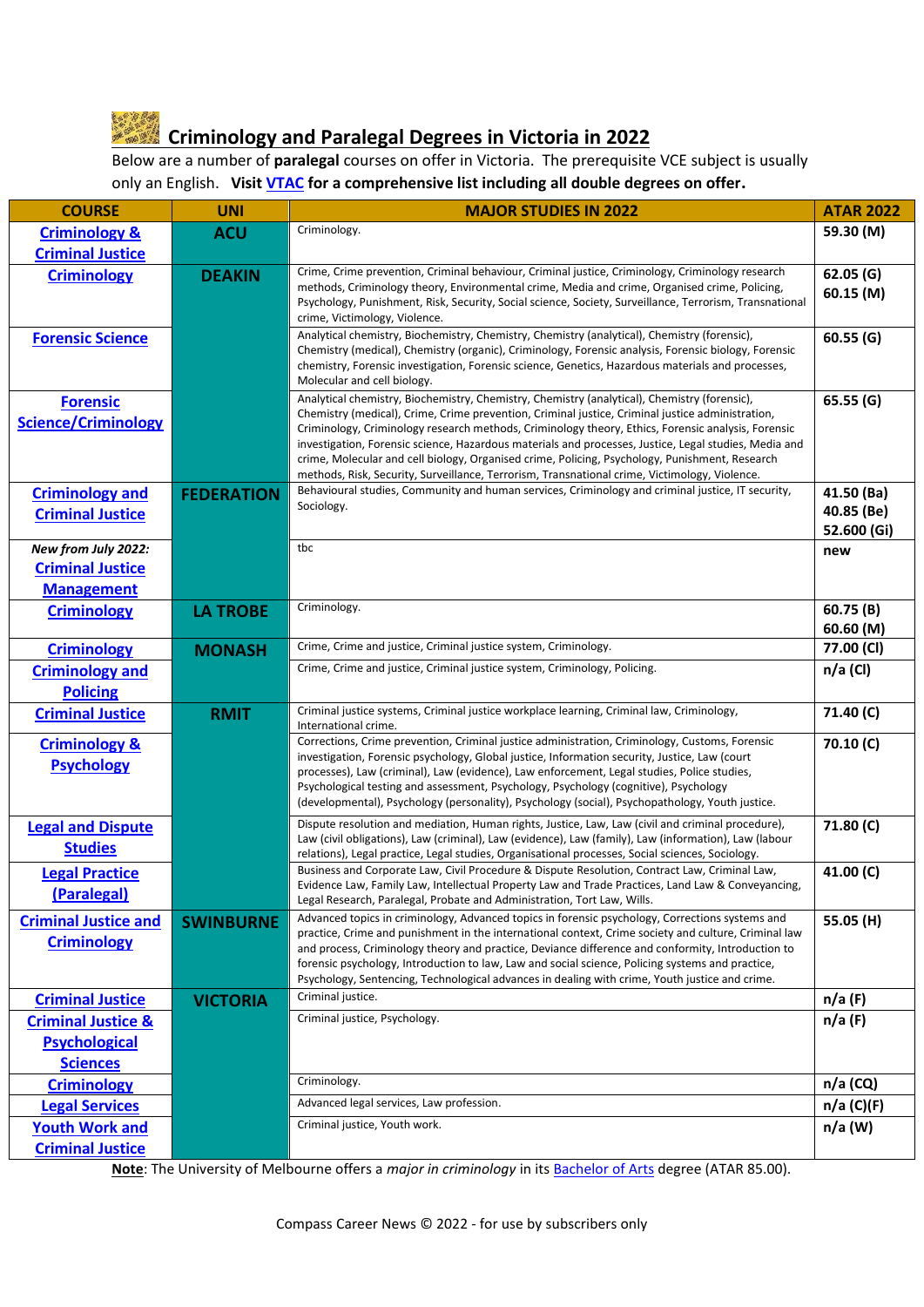## **Criminology and Paralegal Degrees in Victoria in 2022**

Below are a number of **paralegal** courses on offer in Victoria. The prerequisite VCE subject is usually only an English. **Visi[t VTAC](http://www.vtac.edu.au/) for a comprehensive list including all double degrees on offer.**

| <b>COURSE</b>                                                       | <b>UNI</b>        | <b>MAJOR STUDIES IN 2022</b>                                                                                                                                                                                                                                                                                                                                                                                                                                                                                                                                                                                       | <b>ATAR 2022</b>                        |
|---------------------------------------------------------------------|-------------------|--------------------------------------------------------------------------------------------------------------------------------------------------------------------------------------------------------------------------------------------------------------------------------------------------------------------------------------------------------------------------------------------------------------------------------------------------------------------------------------------------------------------------------------------------------------------------------------------------------------------|-----------------------------------------|
| <b>Criminology &amp;</b>                                            | <b>ACU</b>        | Criminology.                                                                                                                                                                                                                                                                                                                                                                                                                                                                                                                                                                                                       | 59.30 (M)                               |
| <b>Criminal Justice</b>                                             |                   |                                                                                                                                                                                                                                                                                                                                                                                                                                                                                                                                                                                                                    |                                         |
| <b>Criminology</b>                                                  | <b>DEAKIN</b>     | Crime, Crime prevention, Criminal behaviour, Criminal justice, Criminology, Criminology research<br>methods, Criminology theory, Environmental crime, Media and crime, Organised crime, Policing,<br>Psychology, Punishment, Risk, Security, Social science, Society, Surveillance, Terrorism, Transnational<br>crime, Victimology, Violence.                                                                                                                                                                                                                                                                      | 62.05(G)<br>60.15(M)                    |
| <b>Forensic Science</b>                                             |                   | Analytical chemistry, Biochemistry, Chemistry, Chemistry (analytical), Chemistry (forensic),<br>Chemistry (medical), Chemistry (organic), Criminology, Forensic analysis, Forensic biology, Forensic<br>chemistry, Forensic investigation, Forensic science, Genetics, Hazardous materials and processes,<br>Molecular and cell biology.                                                                                                                                                                                                                                                                           | 60.55(G)                                |
| <b>Forensic</b><br><b>Science/Criminology</b>                       |                   | Analytical chemistry, Biochemistry, Chemistry, Chemistry (analytical), Chemistry (forensic),<br>Chemistry (medical), Crime, Crime prevention, Criminal justice, Criminal justice administration,<br>Criminology, Criminology research methods, Criminology theory, Ethics, Forensic analysis, Forensic<br>investigation, Forensic science, Hazardous materials and processes, Justice, Legal studies, Media and<br>crime, Molecular and cell biology, Organised crime, Policing, Psychology, Punishment, Research<br>methods, Risk, Security, Surveillance, Terrorism, Transnational crime, Victimology, Violence. | 65.55 (G)                               |
| <b>Criminology and</b><br><b>Criminal Justice</b>                   | <b>FEDERATION</b> | Behavioural studies, Community and human services, Criminology and criminal justice, IT security,<br>Sociology.                                                                                                                                                                                                                                                                                                                                                                                                                                                                                                    | 41.50 (Ba)<br>40.85 (Be)<br>52.600 (Gi) |
| New from July 2022:<br><b>Criminal Justice</b><br><b>Management</b> |                   | tbc                                                                                                                                                                                                                                                                                                                                                                                                                                                                                                                                                                                                                | new                                     |
| <b>Criminology</b>                                                  | <b>LA TROBE</b>   | Criminology.                                                                                                                                                                                                                                                                                                                                                                                                                                                                                                                                                                                                       | 60.75(B)<br>60.60 (M)                   |
| <b>Criminology</b>                                                  | <b>MONASH</b>     | Crime, Crime and justice, Criminal justice system, Criminology.                                                                                                                                                                                                                                                                                                                                                                                                                                                                                                                                                    | 77.00 (CI)                              |
| <b>Criminology and</b><br><b>Policing</b>                           |                   | Crime, Crime and justice, Criminal justice system, Criminology, Policing.                                                                                                                                                                                                                                                                                                                                                                                                                                                                                                                                          | $n/a$ (CI)                              |
| <b>Criminal Justice</b>                                             | <b>RMIT</b>       | Criminal justice systems, Criminal justice workplace learning, Criminal law, Criminology,<br>International crime.                                                                                                                                                                                                                                                                                                                                                                                                                                                                                                  | 71.40 (C)                               |
| <b>Criminology &amp;</b><br><b>Psychology</b>                       |                   | Corrections, Crime prevention, Criminal justice administration, Criminology, Customs, Forensic<br>investigation, Forensic psychology, Global justice, Information security, Justice, Law (court<br>processes), Law (criminal), Law (evidence), Law enforcement, Legal studies, Police studies,<br>Psychological testing and assessment, Psychology, Psychology (cognitive), Psychology<br>(developmental), Psychology (personality), Psychology (social), Psychopathology, Youth justice.                                                                                                                          | 70.10 (C)                               |
| <b>Legal and Dispute</b><br><b>Studies</b>                          |                   | Dispute resolution and mediation, Human rights, Justice, Law, Law (civil and criminal procedure),<br>Law (civil obligations), Law (criminal), Law (evidence), Law (family), Law (information), Law (labour<br>relations), Legal practice, Legal studies, Organisational processes, Social sciences, Sociology.                                                                                                                                                                                                                                                                                                     | 71.80 (C)                               |
| <b>Legal Practice</b><br>(Paralegal)                                |                   | Business and Corporate Law, Civil Procedure & Dispute Resolution, Contract Law, Criminal Law,<br>Evidence Law, Family Law, Intellectual Property Law and Trade Practices, Land Law & Conveyancing,<br>Legal Research, Paralegal, Probate and Administration, Tort Law, Wills.                                                                                                                                                                                                                                                                                                                                      | 41.00 $(C)$                             |
| <b>Criminal Justice and</b><br><b>Criminology</b>                   | <b>SWINBURNE</b>  | Advanced topics in criminology, Advanced topics in forensic psychology, Corrections systems and<br>practice, Crime and punishment in the international context, Crime society and culture, Criminal law<br>and process, Criminology theory and practice, Deviance difference and conformity, Introduction to<br>forensic psychology, Introduction to law, Law and social science, Policing systems and practice,<br>Psychology, Sentencing, Technological advances in dealing with crime, Youth justice and crime.                                                                                                 | 55.05 (H)                               |
| <b>Criminal Justice</b>                                             | <b>VICTORIA</b>   | Criminal justice.                                                                                                                                                                                                                                                                                                                                                                                                                                                                                                                                                                                                  | n/a(F)                                  |
| <b>Criminal Justice &amp;</b>                                       |                   | Criminal justice, Psychology.                                                                                                                                                                                                                                                                                                                                                                                                                                                                                                                                                                                      | n/a(F)                                  |
| <b>Psychological</b>                                                |                   |                                                                                                                                                                                                                                                                                                                                                                                                                                                                                                                                                                                                                    |                                         |
| <b>Sciences</b>                                                     |                   |                                                                                                                                                                                                                                                                                                                                                                                                                                                                                                                                                                                                                    |                                         |
| <b>Criminology</b>                                                  |                   | Criminology.                                                                                                                                                                                                                                                                                                                                                                                                                                                                                                                                                                                                       | $n/a$ (CQ)                              |
| <b>Legal Services</b>                                               |                   | Advanced legal services, Law profession.                                                                                                                                                                                                                                                                                                                                                                                                                                                                                                                                                                           | n/a (C)(F)                              |
| <b>Youth Work and</b><br><b>Criminal Justice</b>                    |                   | Criminal justice, Youth work.                                                                                                                                                                                                                                                                                                                                                                                                                                                                                                                                                                                      | n/a (W)                                 |

**Note**: The University of Melbourne offers a *major in criminology* in it[s Bachelor of Arts](https://study.unimelb.edu.au/find/courses/undergraduate/bachelor-of-arts/) degree (ATAR 85.00).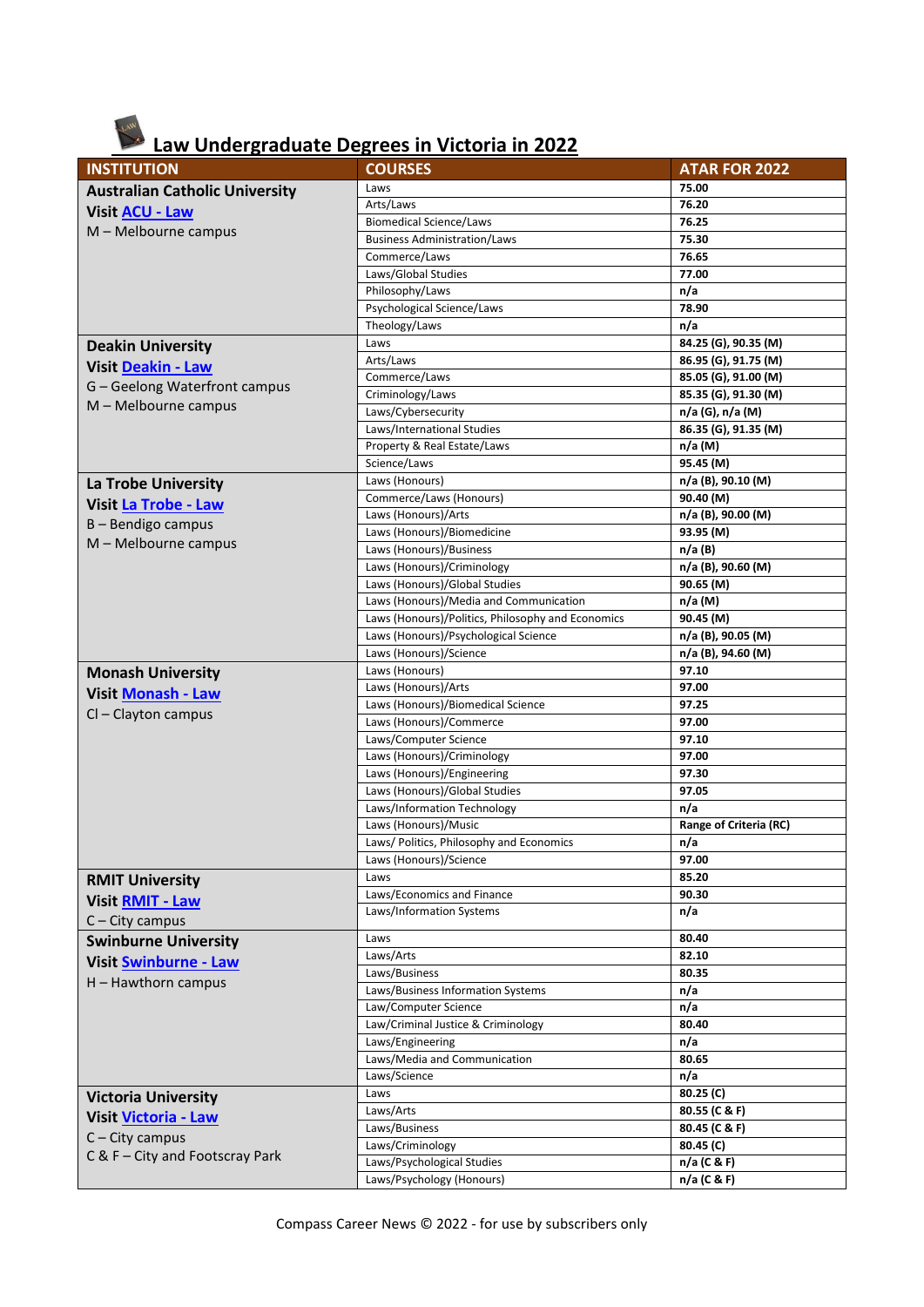# **Law Undergraduate Degrees in Victoria in 2022**

| <b>INSTITUTION</b>                    | <b>COURSES</b>                                        | <b>ATAR FOR 2022</b>          |
|---------------------------------------|-------------------------------------------------------|-------------------------------|
| <b>Australian Catholic University</b> | Laws                                                  | 75.00                         |
| <b>Visit ACU - Law</b>                | Arts/Laws                                             | 76.20                         |
| M - Melbourne campus                  | <b>Biomedical Science/Laws</b>                        | 76.25                         |
|                                       | <b>Business Administration/Laws</b>                   | 75.30                         |
|                                       | Commerce/Laws                                         | 76.65                         |
|                                       | Laws/Global Studies                                   | 77.00                         |
|                                       | Philosophy/Laws                                       | n/a                           |
|                                       | Psychological Science/Laws                            | 78.90                         |
|                                       | Theology/Laws                                         | n/a                           |
| <b>Deakin University</b>              | Laws                                                  | 84.25 (G), 90.35 (M)          |
| <b>Visit Deakin - Law</b>             | Arts/Laws                                             | 86.95 (G), 91.75 (M)          |
| G - Geelong Waterfront campus         | Commerce/Laws                                         | 85.05 (G), 91.00 (M)          |
| M - Melbourne campus                  | Criminology/Laws                                      | 85.35 (G), 91.30 (M)          |
|                                       | Laws/Cybersecurity                                    | n/a (G), n/a (M)              |
|                                       | Laws/International Studies                            | 86.35 (G), 91.35 (M)          |
|                                       | Property & Real Estate/Laws                           | n/a (M)                       |
|                                       | Science/Laws                                          | 95.45 (M)                     |
| La Trobe University                   | Laws (Honours)                                        | n/a (B), 90.10 (M)            |
| <b>Visit La Trobe - Law</b>           | Commerce/Laws (Honours)                               | 90.40 (M)                     |
| B - Bendigo campus                    | Laws (Honours)/Arts                                   | n/a (B), 90.00 (M)            |
| M - Melbourne campus                  | Laws (Honours)/Biomedicine                            | 93.95 (M)                     |
|                                       | Laws (Honours)/Business<br>Laws (Honours)/Criminology | $n/a$ (B)                     |
|                                       | Laws (Honours)/Global Studies                         | n/a (B), 90.60 (M)            |
|                                       | Laws (Honours)/Media and Communication                | 90.65 (M)<br>$n/a$ (M)        |
|                                       | Laws (Honours)/Politics, Philosophy and Economics     | 90.45 (M)                     |
|                                       | Laws (Honours)/Psychological Science                  | n/a (B), 90.05 (M)            |
|                                       | Laws (Honours)/Science                                | n/a (B), 94.60 (M)            |
|                                       | Laws (Honours)                                        | 97.10                         |
| <b>Monash University</b>              | Laws (Honours)/Arts                                   | 97.00                         |
| <b>Visit Monash - Law</b>             | Laws (Honours)/Biomedical Science                     | 97.25                         |
| Cl - Clayton campus                   | Laws (Honours)/Commerce                               | 97.00                         |
|                                       | Laws/Computer Science                                 | 97.10                         |
|                                       | Laws (Honours)/Criminology                            | 97.00                         |
|                                       | Laws (Honours)/Engineering                            | 97.30                         |
|                                       | Laws (Honours)/Global Studies                         | 97.05                         |
|                                       | Laws/Information Technology                           | n/a                           |
|                                       | Laws (Honours)/Music                                  | <b>Range of Criteria (RC)</b> |
|                                       | Laws/ Politics, Philosophy and Economics              | n/a                           |
|                                       | Laws (Honours)/Science                                | 97.00                         |
| <b>RMIT University</b>                | Laws                                                  | 85.20                         |
| <b>Visit RMIT - Law</b>               | Laws/Economics and Finance                            | 90.30                         |
|                                       | Laws/Information Systems                              | n/a                           |
| $C - City$ campus                     |                                                       |                               |
| <b>Swinburne University</b>           | Laws<br>Laws/Arts                                     | 80.40<br>82.10                |
| <b>Visit Swinburne - Law</b>          | Laws/Business                                         | 80.35                         |
| H - Hawthorn campus                   | Laws/Business Information Systems                     | n/a                           |
|                                       | Law/Computer Science                                  | n/a                           |
|                                       | Law/Criminal Justice & Criminology                    | 80.40                         |
|                                       | Laws/Engineering                                      | n/a                           |
|                                       | Laws/Media and Communication                          | 80.65                         |
|                                       | Laws/Science                                          | n/a                           |
| <b>Victoria University</b>            | Laws                                                  | 80.25 (C)                     |
|                                       | Laws/Arts                                             | 80.55 (C & F)                 |
| <b>Visit Victoria - Law</b>           | Laws/Business                                         | 80.45 (C & F)                 |
| $C - City$ campus                     | Laws/Criminology                                      | 80.45 (C)                     |
| C & F - City and Footscray Park       | Laws/Psychological Studies                            | $n/a$ (C & F)                 |
|                                       | Laws/Psychology (Honours)                             | n/a (C & F)                   |